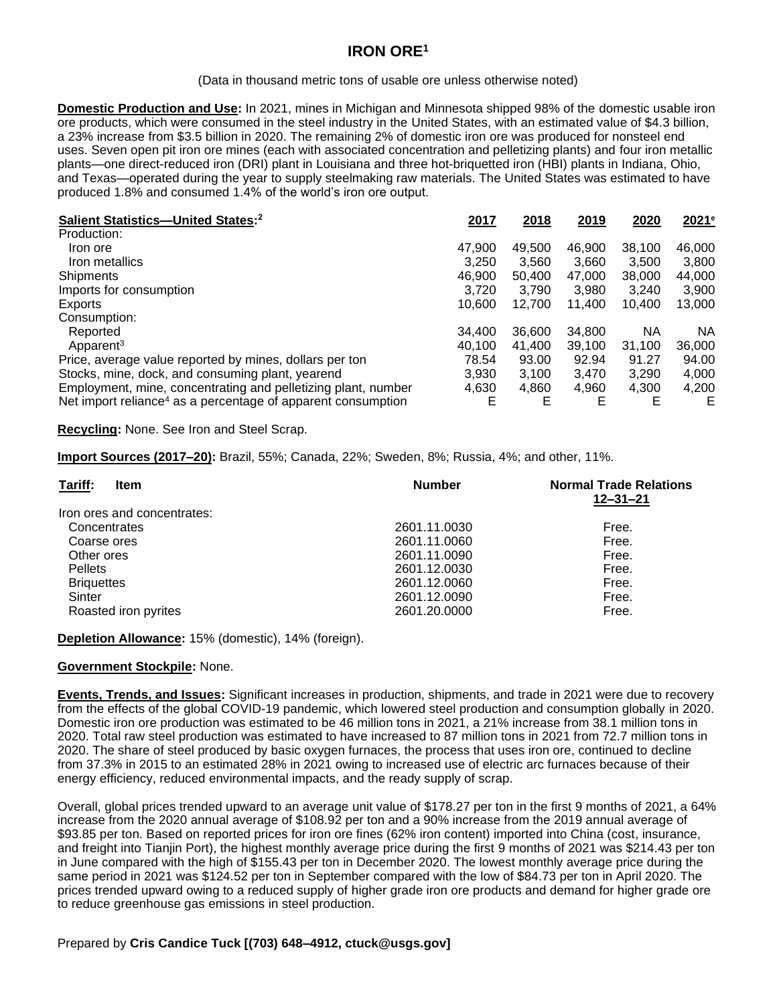# **IRON ORE<sup>1</sup>**

#### (Data in thousand metric tons of usable ore unless otherwise noted)

**Domestic Production and Use:** In 2021, mines in Michigan and Minnesota shipped 98% of the domestic usable iron ore products, which were consumed in the steel industry in the United States, with an estimated value of \$4.3 billion, a 23% increase from \$3.5 billion in 2020. The remaining 2% of domestic iron ore was produced for nonsteel end uses. Seven open pit iron ore mines (each with associated concentration and pelletizing plants) and four iron metallic plants—one direct-reduced iron (DRI) plant in Louisiana and three hot-briquetted iron (HBI) plants in Indiana, Ohio, and Texas—operated during the year to supply steelmaking raw materials. The United States was estimated to have produced 1.8% and consumed 1.4% of the world's iron ore output.

| Salient Statistics-United States: <sup>2</sup>                           | 2017   | 2018   | 2019   | 2020   | 2021 <sup>e</sup> |
|--------------------------------------------------------------------------|--------|--------|--------|--------|-------------------|
| Production:                                                              |        |        |        |        |                   |
| Iron ore                                                                 | 47,900 | 49,500 | 46,900 | 38.100 | 46,000            |
| Iron metallics                                                           | 3.250  | 3.560  | 3.660  | 3.500  | 3.800             |
| Shipments                                                                | 46.900 | 50.400 | 47.000 | 38,000 | 44,000            |
| Imports for consumption                                                  | 3,720  | 3.790  | 3,980  | 3.240  | 3,900             |
| Exports                                                                  | 10.600 | 12.700 | 11.400 | 10.400 | 13,000            |
| Consumption:                                                             |        |        |        |        |                   |
| Reported                                                                 | 34,400 | 36,600 | 34,800 | ΝA     | NA.               |
| Apparent <sup>3</sup>                                                    | 40.100 | 41.400 | 39,100 | 31.100 | 36,000            |
| Price, average value reported by mines, dollars per ton                  | 78.54  | 93.00  | 92.94  | 91.27  | 94.00             |
| Stocks, mine, dock, and consuming plant, yearend                         | 3.930  | 3.100  | 3.470  | 3,290  | 4,000             |
| Employment, mine, concentrating and pelletizing plant, number            | 4,630  | 4,860  | 4,960  | 4,300  | 4,200             |
| Net import reliance <sup>4</sup> as a percentage of apparent consumption | F      | Е      | Е      | Е      | E                 |

**Recycling:** None. See Iron and Steel Scrap.

**Import Sources (2017–20):** Brazil, 55%; Canada, 22%; Sweden, 8%; Russia, 4%; and other, 11%.

| Tariff:<br><b>Item</b>      | <b>Number</b> | <b>Normal Trade Relations</b><br>$12 - 31 - 21$ |  |
|-----------------------------|---------------|-------------------------------------------------|--|
| Iron ores and concentrates: |               |                                                 |  |
| Concentrates                | 2601.11.0030  | Free.                                           |  |
| Coarse ores                 | 2601.11.0060  | Free.                                           |  |
| Other ores                  | 2601.11.0090  | Free.                                           |  |
| <b>Pellets</b>              | 2601.12.0030  | Free.                                           |  |
| <b>Briquettes</b>           | 2601.12.0060  | Free.                                           |  |
| Sinter                      | 2601.12.0090  | Free.                                           |  |
| Roasted iron pyrites        | 2601.20.0000  | Free.                                           |  |

**Depletion Allowance:** 15% (domestic), 14% (foreign).

#### **Government Stockpile:** None.

**Events, Trends, and Issues:** Significant increases in production, shipments, and trade in 2021 were due to recovery from the effects of the global COVID-19 pandemic, which lowered steel production and consumption globally in 2020. Domestic iron ore production was estimated to be 46 million tons in 2021, a 21% increase from 38.1 million tons in 2020. Total raw steel production was estimated to have increased to 87 million tons in 2021 from 72.7 million tons in 2020. The share of steel produced by basic oxygen furnaces, the process that uses iron ore, continued to decline from 37.3% in 2015 to an estimated 28% in 2021 owing to increased use of electric arc furnaces because of their energy efficiency, reduced environmental impacts, and the ready supply of scrap.

Overall, global prices trended upward to an average unit value of \$178.27 per ton in the first 9 months of 2021, a 64% increase from the 2020 annual average of \$108.92 per ton and a 90% increase from the 2019 annual average of \$93.85 per ton. Based on reported prices for iron ore fines (62% iron content) imported into China (cost, insurance, and freight into Tianjin Port), the highest monthly average price during the first 9 months of 2021 was \$214.43 per ton in June compared with the high of \$155.43 per ton in December 2020. The lowest monthly average price during the same period in 2021 was \$124.52 per ton in September compared with the low of \$84.73 per ton in April 2020. The prices trended upward owing to a reduced supply of higher grade iron ore products and demand for higher grade ore to reduce greenhouse gas emissions in steel production.

### Prepared by **Cris Candice Tuck [(703) 648–4912, ctuck@usgs.gov]**